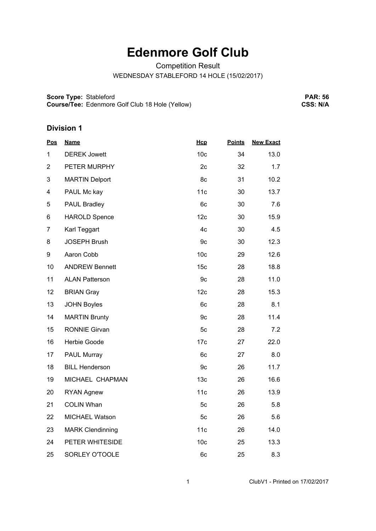## **Edenmore Golf Club**

Competition Result

WEDNESDAY STABLEFORD 14 HOLE (15/02/2017)

**Score Type:** Stableford **Course/Tee:** Edenmore Golf Club 18 Hole (Yellow)

**PAR: 56 CSS: N/A**

## **Division 1**

| <u>Pos</u>     | <b>Name</b>             | Hcp             | <b>Points</b> | <b>New Exact</b> |
|----------------|-------------------------|-----------------|---------------|------------------|
| 1              | <b>DEREK Jowett</b>     | 10 <sub>c</sub> | 34            | 13.0             |
| $\overline{2}$ | PETER MURPHY            | 2c              | 32            | 1.7              |
| 3              | <b>MARTIN Delport</b>   | 8c              | 31            | 10.2             |
| 4              | PAUL Mc kay             | 11c             | 30            | 13.7             |
| 5              | PAUL Bradley            | 6c              | 30            | 7.6              |
| 6              | <b>HAROLD Spence</b>    | 12c             | 30            | 15.9             |
| $\overline{7}$ | Karl Teggart            | 4c              | 30            | 4.5              |
| 8              | <b>JOSEPH Brush</b>     | 9c              | 30            | 12.3             |
| 9              | Aaron Cobb              | 10 <sub>c</sub> | 29            | 12.6             |
| 10             | <b>ANDREW Bennett</b>   | 15 <sub>c</sub> | 28            | 18.8             |
| 11             | <b>ALAN Patterson</b>   | 9c              | 28            | 11.0             |
| 12             | <b>BRIAN Gray</b>       | 12c             | 28            | 15.3             |
| 13             | <b>JOHN Boyles</b>      | 6c              | 28            | 8.1              |
| 14             | <b>MARTIN Brunty</b>    | 9c              | 28            | 11.4             |
| 15             | <b>RONNIE Girvan</b>    | 5c              | 28            | 7.2              |
| 16             | Herbie Goode            | 17c             | 27            | 22.0             |
| 17             | <b>PAUL Murray</b>      | 6c              | 27            | 8.0              |
| 18             | <b>BILL Henderson</b>   | 9c              | 26            | 11.7             |
| 19             | MICHAEL CHAPMAN         | 13 <sub>c</sub> | 26            | 16.6             |
| 20             | <b>RYAN Agnew</b>       | 11c             | 26            | 13.9             |
| 21             | <b>COLIN Whan</b>       | 5c              | 26            | 5.8              |
| 22             | MICHAEL Watson          | 5c              | 26            | 5.6              |
| 23             | <b>MARK Clendinning</b> | 11c             | 26            | 14.0             |
| 24             | PETER WHITESIDE         | 10 <sub>c</sub> | 25            | 13.3             |
| 25             | SORLEY O'TOOLE          | 6c              | 25            | 8.3              |